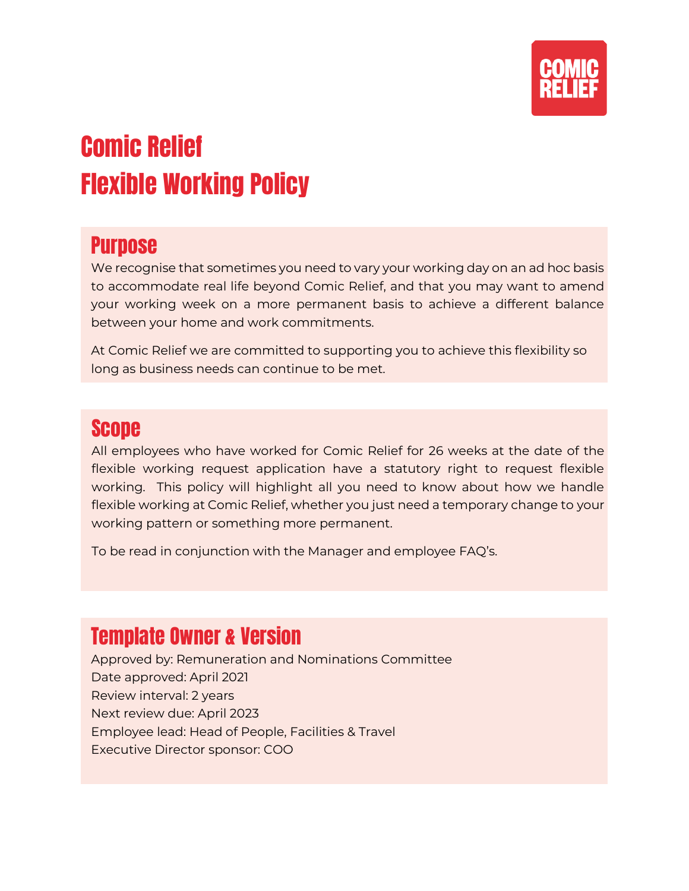

# Comic Relief Flexible Working Policy

## **Purpose**

We recognise that sometimes you need to vary your working day on an ad hoc basis to accommodate real life beyond Comic Relief, and that you may want to amend your working week on a more permanent basis to achieve a different balance between your home and work commitments.

At Comic Relief we are committed to supporting you to achieve this flexibility so long as business needs can continue to be met.

## Scope

All employees who have worked for Comic Relief for 26 weeks at the date of the flexible working request application have a statutory right to request flexible working. This policy will highlight all you need to know about how we handle flexible working at Comic Relief, whether you just need a temporary change to your working pattern or something more permanent.

To be read in conjunction with the Manager and employee FAQ's.

# Template Owner & Version

Approved by: Remuneration and Nominations Committee Date approved: April 2021 Review interval: 2 years Next review due: April 2023 Employee lead: Head of People, Facilities & Travel Executive Director sponsor: COO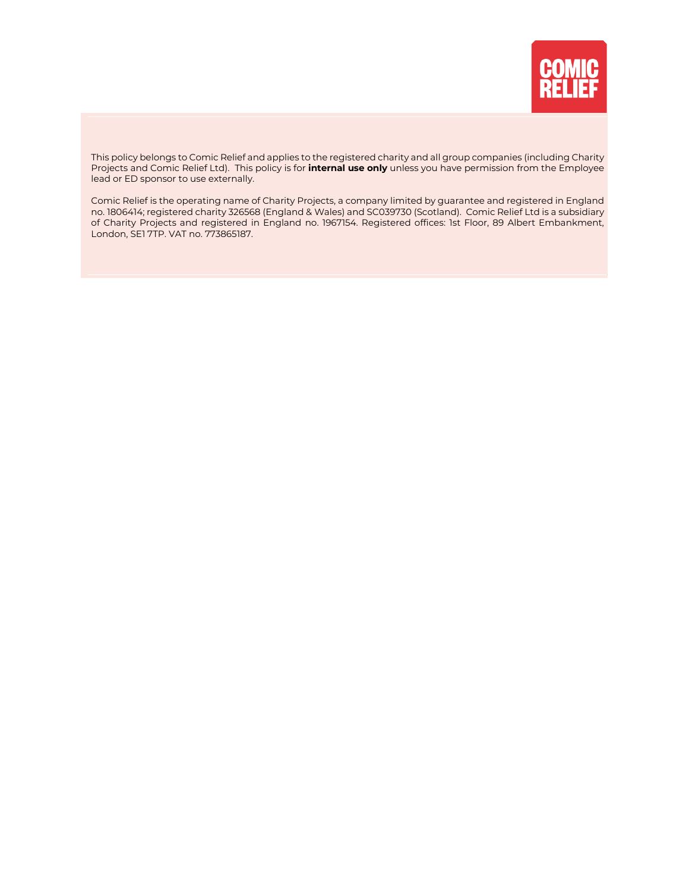

This policy belongs to Comic Relief and applies to the registered charity and all group companies (including Charity Projects and Comic Relief Ltd). This policy is for **internal use only** unless you have permission from the Employee lead or ED sponsor to use externally.

Comic Relief is the operating name of Charity Projects, a company limited by guarantee and registered in England no. 1806414; registered charity 326568 (England & Wales) and SC039730 (Scotland). Comic Relief Ltd is a subsidiary of Charity Projects and registered in England no. 1967154. Registered offices: 1st Floor, 89 Albert Embankment, London, SE1 7TP. VAT no. 773865187.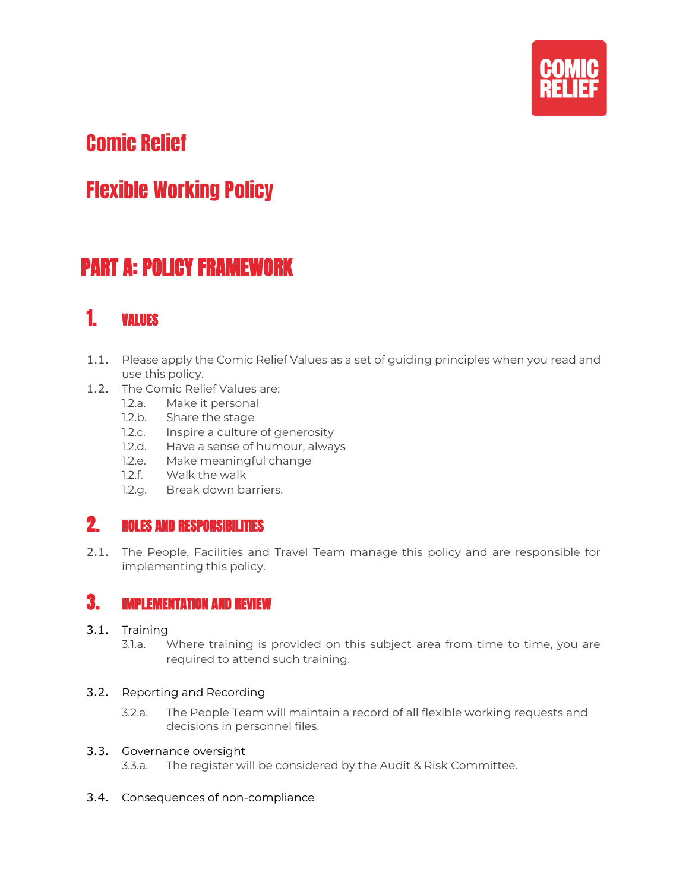

# Comic Relief

# Flexible Working Policy

# PART A: POLICY FRAMEWORK

## 1. VALUES

- 1.1. Please apply the Comic Relief Values as a set of guiding principles when you read and use this policy.
- 1.2. The Comic Relief Values are:
	- 1.2.a. Make it personal
	- 1.2.b. Share the stage
	- 1.2.c. Inspire a culture of generosity
	- 1.2.d. Have a sense of humour, always
	- 1.2.e. Make meaningful change
	- 1.2.f. Walk the walk
	- 1.2.g. Break down barriers.

### 2. ROLES AND RESPONSIBILITIES

2.1. The People, Facilities and Travel Team manage this policy and are responsible for implementing this policy.

#### 3. IMPLEMENTATION AND REVIEW

- 3.1. Training
	- 3.1.a. Where training is provided on this subject area from time to time, you are required to attend such training.

#### 3.2. Reporting and Recording

3.2.a. The People Team will maintain a record of all flexible working requests and decisions in personnel files.

#### 3.3. Governance oversight

- 3.3.a. The register will be considered by the Audit & Risk Committee.
- 3.4. Consequences of non-compliance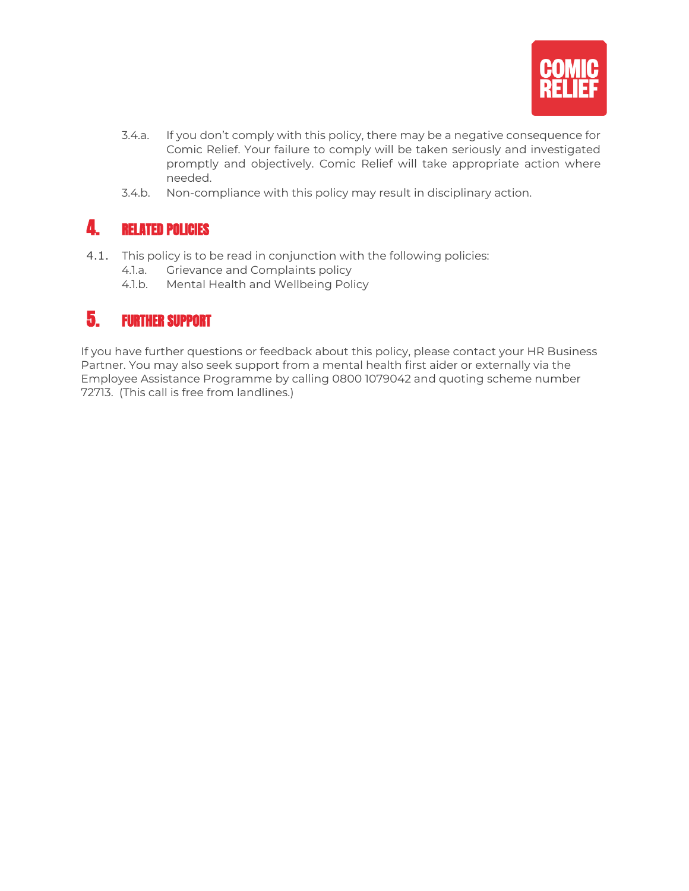

- 3.4.a. If you don't comply with this policy, there may be a negative consequence for Comic Relief. Your failure to comply will be taken seriously and investigated promptly and objectively. Comic Relief will take appropriate action where needed.
- 3.4.b. Non-compliance with this policy may result in disciplinary action.

## 4. RELATED POLICIES

- 4.1. This policy is to be read in conjunction with the following policies:
	- 4.1.a. Grievance and Complaints policy
	- 4.1.b. Mental Health and Wellbeing Policy

### 5. FURTHER SUPPORT

If you have further questions or feedback about this policy, please contact your HR Business Partner. You may also seek support from a mental health first aider or externally via the Employee Assistance Programme by calling 0800 1079042 and quoting scheme number 72713. (This call is free from landlines.)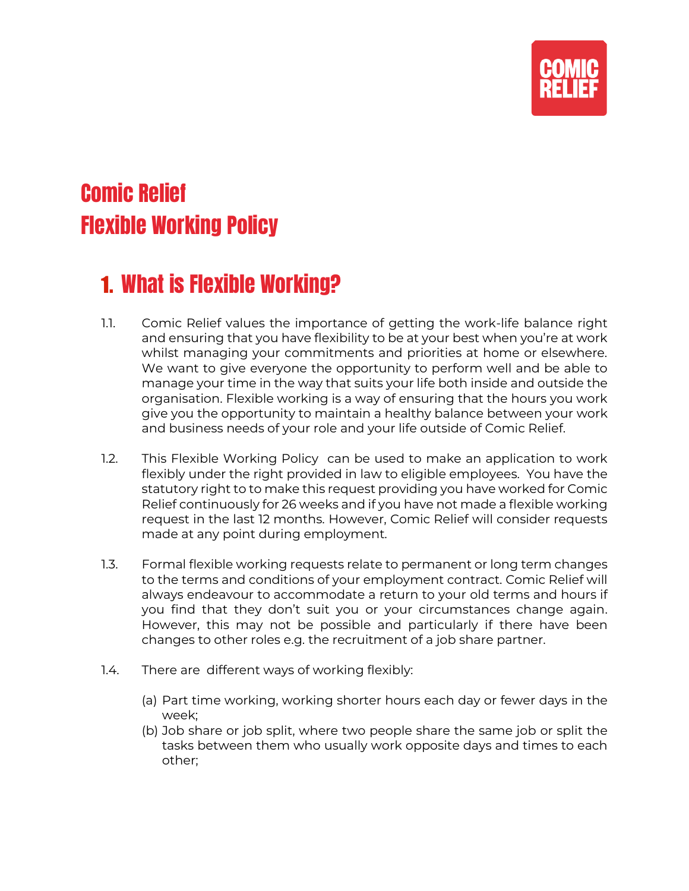

# Comic Relief Flexible Working Policy

# 1. What is Flexible Working?

- 1.1. Comic Relief values the importance of getting the work-life balance right and ensuring that you have flexibility to be at your best when you're at work whilst managing your commitments and priorities at home or elsewhere. We want to give everyone the opportunity to perform well and be able to manage your time in the way that suits your life both inside and outside the organisation. Flexible working is a way of ensuring that the hours you work give you the opportunity to maintain a healthy balance between your work and business needs of your role and your life outside of Comic Relief.
- 1.2. This Flexible Working Policy can be used to make an application to work flexibly under the right provided in law to eligible employees. You have the statutory right to to make this request providing you have worked for Comic Relief continuously for 26 weeks and if you have not made a flexible working request in the last 12 months. However, Comic Relief will consider requests made at any point during employment.
- 1.3. Formal flexible working requests relate to permanent or long term changes to the terms and conditions of your employment contract. Comic Relief will always endeavour to accommodate a return to your old terms and hours if you find that they don't suit you or your circumstances change again. However, this may not be possible and particularly if there have been changes to other roles e.g. the recruitment of a job share partner.
- 1.4. There are different ways of working flexibly:
	- (a) Part time working, working shorter hours each day or fewer days in the week;
	- (b) Job share or job split, where two people share the same job or split the tasks between them who usually work opposite days and times to each other;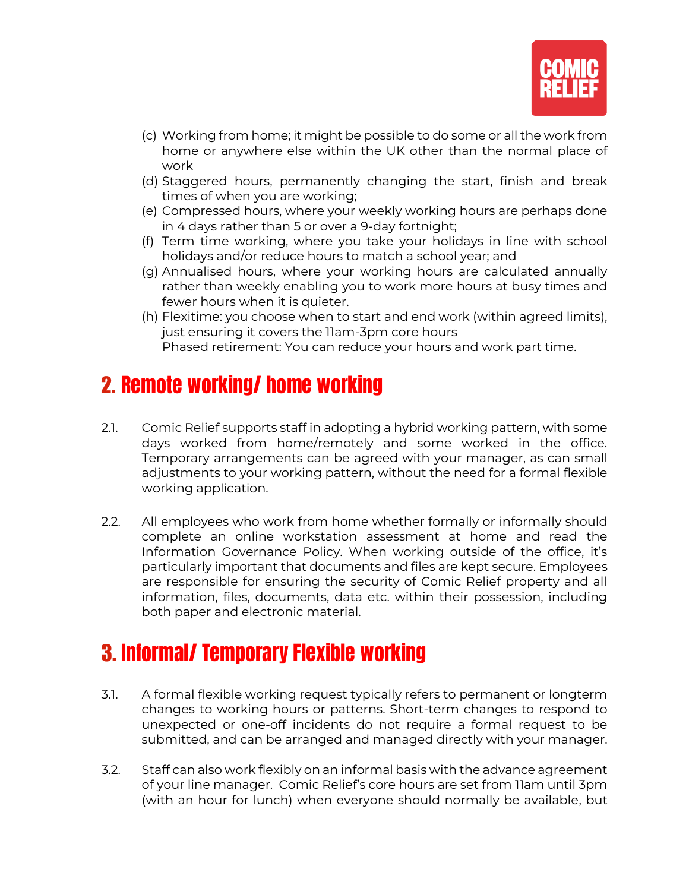

- (c) Working from home; it might be possible to do some or all the work from home or anywhere else within the UK other than the normal place of work
- (d) Staggered hours, permanently changing the start, finish and break times of when you are working;
- (e) Compressed hours, where your weekly working hours are perhaps done in 4 days rather than 5 or over a 9-day fortnight;
- (f) Term time working, where you take your holidays in line with school holidays and/or reduce hours to match a school year; and
- (g) Annualised hours, where your working hours are calculated annually rather than weekly enabling you to work more hours at busy times and fewer hours when it is quieter.
- (h) Flexitime: you choose when to start and end work (within agreed limits), just ensuring it covers the 11am-3pm core hours Phased retirement: You can reduce your hours and work part time.

# 2. Remote working/ home working

- 2.1. Comic Relief supports staff in adopting a hybrid working pattern, with some days worked from home/remotely and some worked in the office. Temporary arrangements can be agreed with your manager, as can small adjustments to your working pattern, without the need for a formal flexible working application.
- 2.2. All employees who work from home whether formally or informally should complete an online workstation assessment at home and read the Information Governance Policy. When working outside of the office, it's particularly important that documents and files are kept secure. Employees are responsible for ensuring the security of Comic Relief property and all information, files, documents, data etc. within their possession, including both paper and electronic material.

# 3. Informal/ Temporary Flexible working

- 3.1. A formal flexible working request typically refers to permanent or longterm changes to working hours or patterns. Short-term changes to respond to unexpected or one-off incidents do not require a formal request to be submitted, and can be arranged and managed directly with your manager.
- 3.2. Staff can also work flexibly on an informal basis with the advance agreement of your line manager. Comic Relief's core hours are set from 11am until 3pm (with an hour for lunch) when everyone should normally be available, but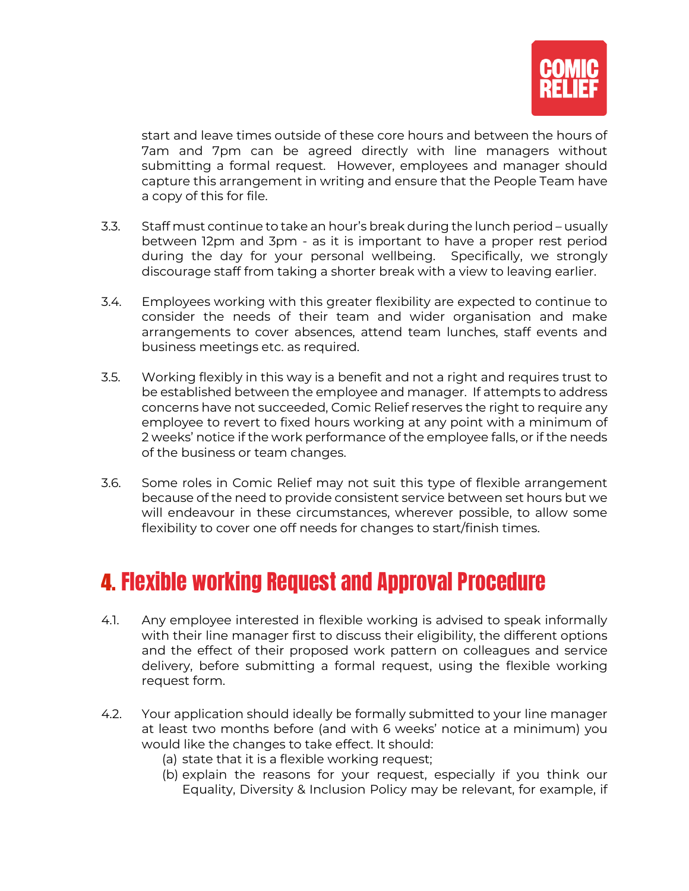

start and leave times outside of these core hours and between the hours of 7am and 7pm can be agreed directly with line managers without submitting a formal request. However, employees and manager should capture this arrangement in writing and ensure that the People Team have a copy of this for file.

- 3.3. Staff must continue to take an hour's break during the lunch period usually between 12pm and 3pm - as it is important to have a proper rest period during the day for your personal wellbeing. Specifically, we strongly discourage staff from taking a shorter break with a view to leaving earlier.
- 3.4. Employees working with this greater flexibility are expected to continue to consider the needs of their team and wider organisation and make arrangements to cover absences, attend team lunches, staff events and business meetings etc. as required.
- 3.5. Working flexibly in this way is a benefit and not a right and requires trust to be established between the employee and manager. If attempts to address concerns have not succeeded, Comic Relief reserves the right to require any employee to revert to fixed hours working at any point with a minimum of 2 weeks' notice if the work performance of the employee falls, or if the needs of the business or team changes.
- 3.6. Some roles in Comic Relief may not suit this type of flexible arrangement because of the need to provide consistent service between set hours but we will endeavour in these circumstances, wherever possible, to allow some flexibility to cover one off needs for changes to start/finish times.

# 4. Flexible working Request and Approval Procedure

- 4.1. Any employee interested in flexible working is advised to speak informally with their line manager first to discuss their eligibility, the different options and the effect of their proposed work pattern on colleagues and service delivery, before submitting a formal request, using the flexible working request form.
- 4.2. Your application should ideally be formally submitted to your line manager at least two months before (and with 6 weeks' notice at a minimum) you would like the changes to take effect. It should:
	- (a) state that it is a flexible working request;
	- (b) explain the reasons for your request, especially if you think our Equality, Diversity & Inclusion Policy may be relevant, for example, if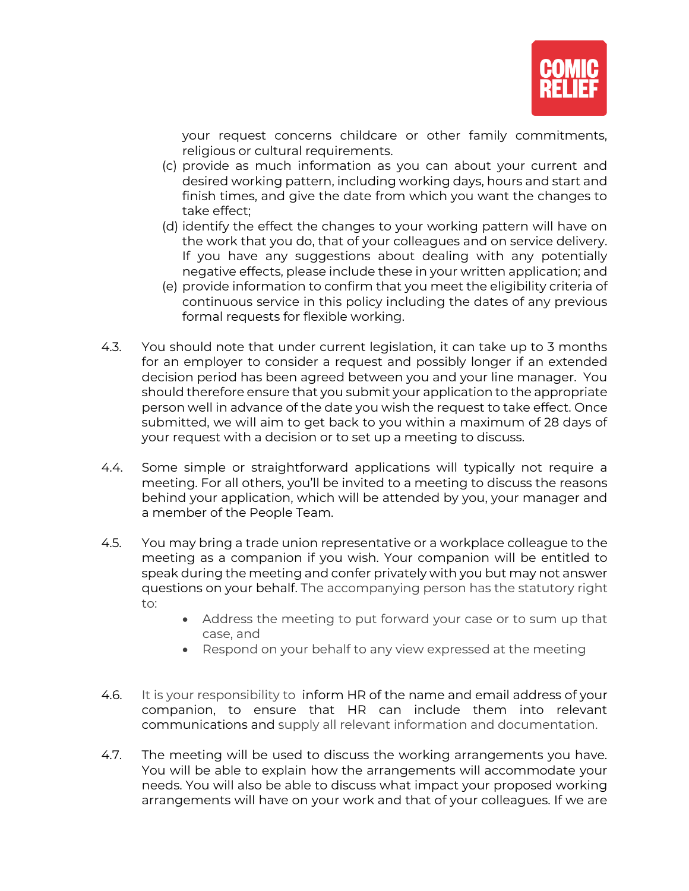

your request concerns childcare or other family commitments, religious or cultural requirements.

- (c) provide as much information as you can about your current and desired working pattern, including working days, hours and start and finish times, and give the date from which you want the changes to take effect;
- (d) identify the effect the changes to your working pattern will have on the work that you do, that of your colleagues and on service delivery. If you have any suggestions about dealing with any potentially negative effects, please include these in your written application; and
- (e) provide information to confirm that you meet the eligibility criteria of continuous service in this policy including the dates of any previous formal requests for flexible working.
- 4.3. You should note that under current legislation, it can take up to 3 months for an employer to consider a request and possibly longer if an extended decision period has been agreed between you and your line manager. You should therefore ensure that you submit your application to the appropriate person well in advance of the date you wish the request to take effect. Once submitted, we will aim to get back to you within a maximum of 28 days of your request with a decision or to set up a meeting to discuss.
- 4.4. Some simple or straightforward applications will typically not require a meeting. For all others, you'll be invited to a meeting to discuss the reasons behind your application, which will be attended by you, your manager and a member of the People Team.
- 4.5. You may bring a trade union representative or a workplace colleague to the meeting as a companion if you wish. Your companion will be entitled to speak during the meeting and confer privately with you but may not answer questions on your behalf. The accompanying person has the statutory right to:
	- Address the meeting to put forward your case or to sum up that case, and
	- Respond on your behalf to any view expressed at the meeting
- 4.6. It is your responsibility to inform HR of the name and email address of your companion, to ensure that HR can include them into relevant communications and supply all relevant information and documentation.
- 4.7. The meeting will be used to discuss the working arrangements you have. You will be able to explain how the arrangements will accommodate your needs. You will also be able to discuss what impact your proposed working arrangements will have on your work and that of your colleagues. If we are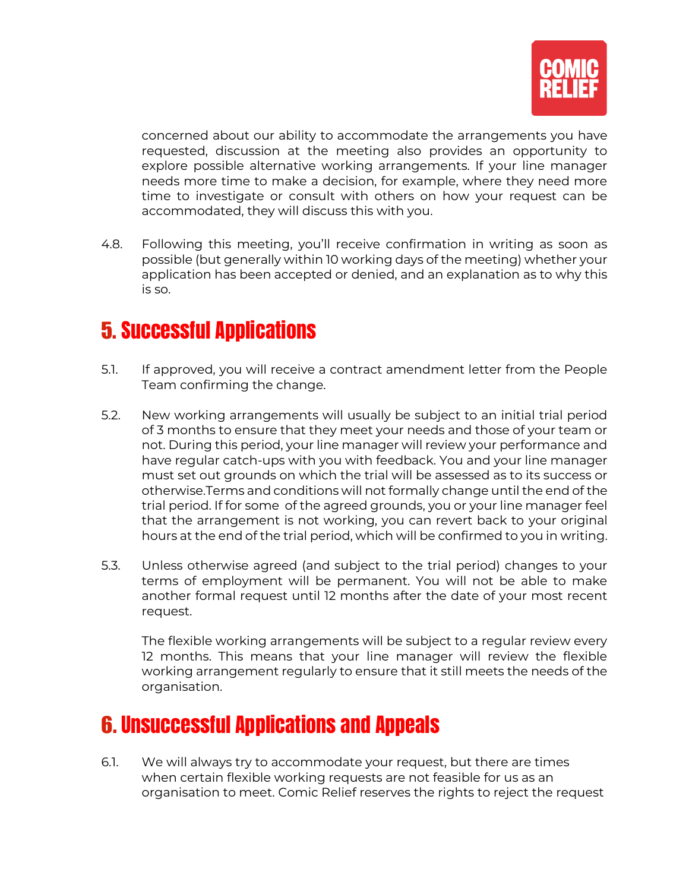

concerned about our ability to accommodate the arrangements you have requested, discussion at the meeting also provides an opportunity to explore possible alternative working arrangements. If your line manager needs more time to make a decision, for example, where they need more time to investigate or consult with others on how your request can be accommodated, they will discuss this with you.

4.8. Following this meeting, you'll receive confirmation in writing as soon as possible (but generally within 10 working days of the meeting) whether your application has been accepted or denied, and an explanation as to why this is so.

# 5. Successful Applications

- 5.1. If approved, you will receive a contract amendment letter from the People Team confirming the change.
- 5.2. New working arrangements will usually be subject to an initial trial period of 3 months to ensure that they meet your needs and those of your team or not. During this period, your line manager will review your performance and have regular catch-ups with you with feedback. You and your line manager must set out grounds on which the trial will be assessed as to its success or otherwise.Terms and conditions will not formally change until the end of the trial period. If for some of the agreed grounds, you or your line manager feel that the arrangement is not working, you can revert back to your original hours at the end of the trial period, which will be confirmed to you in writing.
- 5.3. Unless otherwise agreed (and subject to the trial period) changes to your terms of employment will be permanent. You will not be able to make another formal request until 12 months after the date of your most recent request.

The flexible working arrangements will be subject to a regular review every 12 months. This means that your line manager will review the flexible working arrangement regularly to ensure that it still meets the needs of the organisation.

# 6. Unsuccessful Applications and Appeals

6.1. We will always try to accommodate your request, but there are times when certain flexible working requests are not feasible for us as an organisation to meet. Comic Relief reserves the rights to reject the request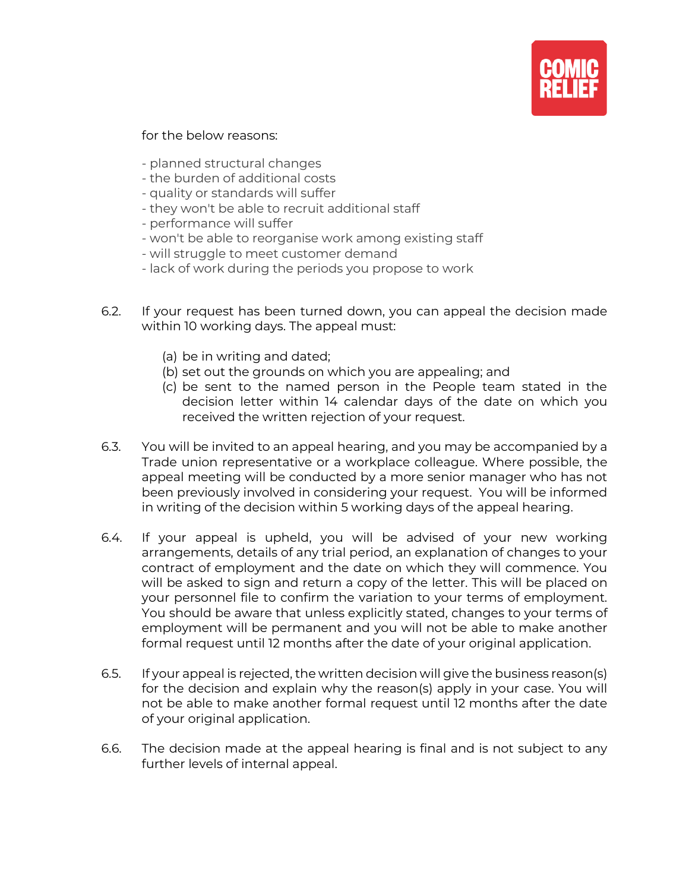

for the below reasons:

- planned structural changes
- the burden of additional costs
- quality or standards will suffer
- they won't be able to recruit additional staff
- performance will suffer
- won't be able to reorganise work among existing staff
- will struggle to meet customer demand
- lack of work during the periods you propose to work
- 6.2. If your request has been turned down, you can appeal the decision made within 10 working days. The appeal must:
	- (a) be in writing and dated;
	- (b) set out the grounds on which you are appealing; and
	- (c) be sent to the named person in the People team stated in the decision letter within 14 calendar days of the date on which you received the written rejection of your request.
- 6.3. You will be invited to an appeal hearing, and you may be accompanied by a Trade union representative or a workplace colleague. Where possible, the appeal meeting will be conducted by a more senior manager who has not been previously involved in considering your request. You will be informed in writing of the decision within 5 working days of the appeal hearing.
- 6.4. If your appeal is upheld, you will be advised of your new working arrangements, details of any trial period, an explanation of changes to your contract of employment and the date on which they will commence. You will be asked to sign and return a copy of the letter. This will be placed on your personnel file to confirm the variation to your terms of employment. You should be aware that unless explicitly stated, changes to your terms of employment will be permanent and you will not be able to make another formal request until 12 months after the date of your original application.
- 6.5. If your appeal is rejected, the written decision will give the business reason(s) for the decision and explain why the reason(s) apply in your case. You will not be able to make another formal request until 12 months after the date of your original application.
- 6.6. The decision made at the appeal hearing is final and is not subject to any further levels of internal appeal.